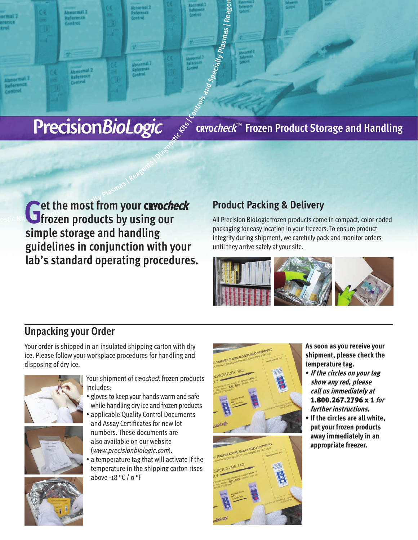CRYO**check**™ **Frozen Product Storage and Handling**

Precision Biologic<br>
Experience Reagents | Reagents | Reagents | Controls and Special Triangle<br>
Controls and Special Speciality Plasmas | Reagents | Reagents | Reagents | Reagents | Reagents | Reagents | R<br>
Controls | Contr **Get the most from your crocheck simple storage and handling guidelines in conjunction with your lab's standard operating procedures.**

# **Product Packing & Delivery**

an<sub>d Specialty</sub>

Plas<sub>mas | Reage</sub>

 $\equiv$ 

All Precision BioLogic frozen products come in compact, color-coded packaging for easy location in your freezers. To ensure product integrity during shipment, we carefully pack and monitor orders until they arrive safely at your site.



# **Unpacking your Order**

Your order is shipped in an insulated shipping carton with dry ice. Please follow your workplace procedures for handling and disposing of dry ice.





Your shipment of cryocheck frozen products includes:

- gloves to keep your hands warm and safe while handling dry ice and frozen products
- applicable Quality Control Documents and Assay Certificates for new lot numbers. These documents are also available on our website (www.precisionbiologic.com).
- a temperature tag that will activate if the temperature in the shipping carton rises above -18 °C / 0 °F





**As soon as you receive your shipment, please check the temperature tag.** 

- **If the circles on your tag show any red, please call us immediately at**  1.800.267.2796 x 1 **for further instructions.**
- **If the circles are all white, put your frozen products away immediately in an appropriate freezer.**